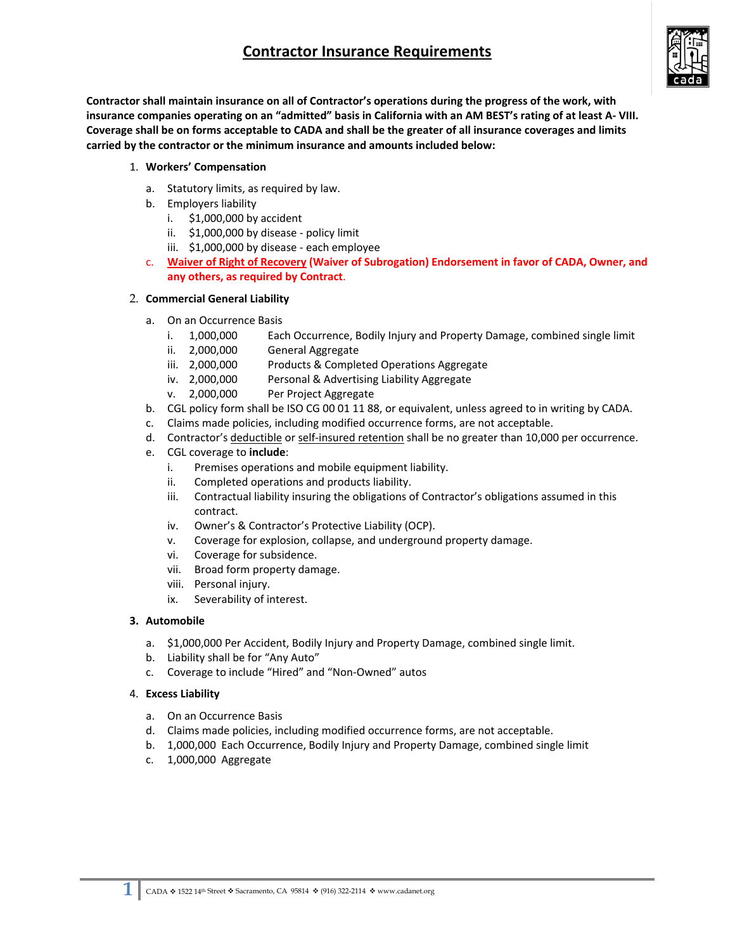# **Contractor Insurance Requirements**



**Contractor shall maintain insurance on all of Contractor's operations during the progress of the work, with** insurance companies operating on an "admitted" basis in California with an AM BEST's rating of at least A-VIII. Coverage shall be on forms acceptable to CADA and shall be the greater of all insurance coverages and limits **carried by the contractor or the minimum insurance and amounts included below:**

### 1. **Workers' Compensation**

- a. Statutory limits, as required by law.
- b. Employers liability
	- i. \$1,000,000 by accident
	- ii. \$1,000,000 by disease ‐ policy limit
	- iii. \$1,000,000 by disease ‐ each employee
- c. **Waiver of Right of Recovery (Waiver of Subrogation) Endorsement in favor of CADA, Owner, and any others, as required by Contract**.

#### 2. **Commercial General Liability**

- a. On an Occurrence Basis
	- i. 1,000,000 Each Occurrence, Bodily Injury and Property Damage, combined single limit
	- ii. 2,000,000 General Aggregate
	- iii. 2,000,000 Products & Completed Operations Aggregate
	- iv. 2,000,000 Personal & Advertising Liability Aggregate
	- v. 2,000,000 Per Project Aggregate
- b. CGL policy form shall be ISO CG 00 01 11 88, or equivalent, unless agreed to in writing by CADA.
- c. Claims made policies, including modified occurrence forms, are not acceptable.
- d. Contractor's deductible or self-insured retention shall be no greater than 10,000 per occurrence.
- e. CGL coverage to **include**:
	- i. Premises operations and mobile equipment liability.
	- ii. Completed operations and products liability.
	- iii. Contractual liability insuring the obligations of Contractor's obligations assumed in this contract.
	- iv. Owner's & Contractor's Protective Liability (OCP).
	- v. Coverage for explosion, collapse, and underground property damage.
	- vi. Coverage for subsidence.
	- vii. Broad form property damage.
	- viii. Personal injury.
	- ix. Severability of interest.

### **3. Automobile**

- a. \$1,000,000 Per Accident, Bodily Injury and Property Damage, combined single limit.
- b. Liability shall be for "Any Auto"
- c. Coverage to include "Hired" and "Non‐Owned" autos

#### 4. **Excess Liability**

- a. On an Occurrence Basis
- d. Claims made policies, including modified occurrence forms, are not acceptable.
- b. 1,000,000 Each Occurrence, Bodily Injury and Property Damage, combined single limit
- c. 1,000,000 Aggregate